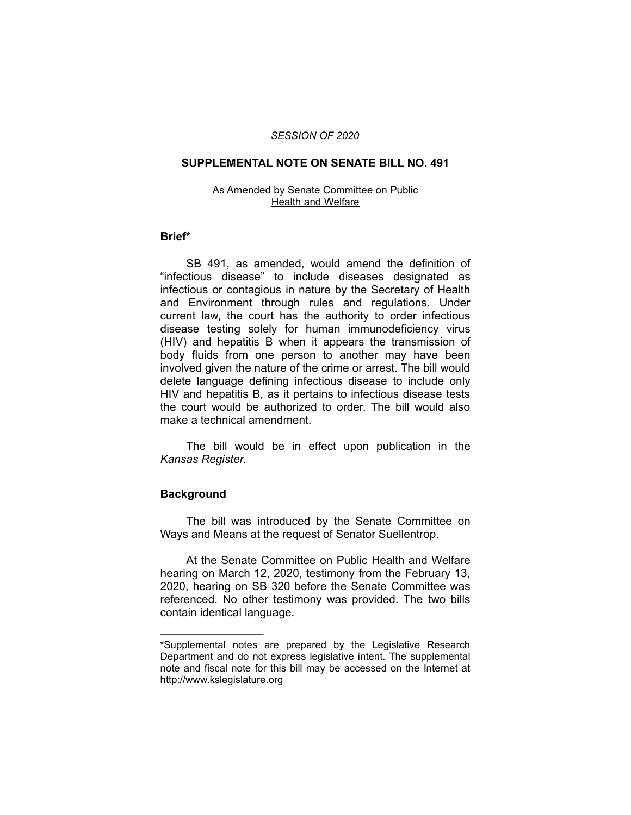#### *SESSION OF 2020*

## **SUPPLEMENTAL NOTE ON SENATE BILL NO. 491**

#### As Amended by Senate Committee on Public Health and Welfare

### **Brief\***

SB 491, as amended, would amend the definition of "infectious disease" to include diseases designated as infectious or contagious in nature by the Secretary of Health and Environment through rules and regulations. Under current law, the court has the authority to order infectious disease testing solely for human immunodeficiency virus (HIV) and hepatitis B when it appears the transmission of body fluids from one person to another may have been involved given the nature of the crime or arrest. The bill would delete language defining infectious disease to include only HIV and hepatitis B, as it pertains to infectious disease tests the court would be authorized to order. The bill would also make a technical amendment.

The bill would be in effect upon publication in the *Kansas Register.*

### **Background**

 $\overline{\phantom{a}}$  , where  $\overline{\phantom{a}}$  , where  $\overline{\phantom{a}}$ 

The bill was introduced by the Senate Committee on Ways and Means at the request of Senator Suellentrop.

At the Senate Committee on Public Health and Welfare hearing on March 12, 2020, testimony from the February 13, 2020, hearing on SB 320 before the Senate Committee was referenced. No other testimony was provided. The two bills contain identical language.

<sup>\*</sup>Supplemental notes are prepared by the Legislative Research Department and do not express legislative intent. The supplemental note and fiscal note for this bill may be accessed on the Internet at http://www.kslegislature.org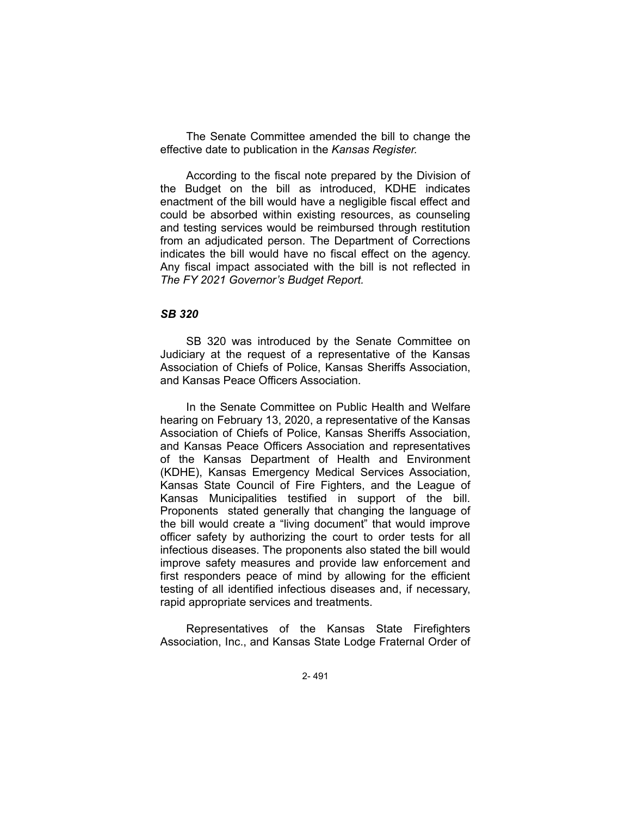The Senate Committee amended the bill to change the effective date to publication in the *Kansas Register.*

According to the fiscal note prepared by the Division of the Budget on the bill as introduced, KDHE indicates enactment of the bill would have a negligible fiscal effect and could be absorbed within existing resources, as counseling and testing services would be reimbursed through restitution from an adjudicated person. The Department of Corrections indicates the bill would have no fiscal effect on the agency. Any fiscal impact associated with the bill is not reflected in *The FY 2021 Governor's Budget Report.*

# *SB 320*

SB 320 was introduced by the Senate Committee on Judiciary at the request of a representative of the Kansas Association of Chiefs of Police, Kansas Sheriffs Association, and Kansas Peace Officers Association.

In the Senate Committee on Public Health and Welfare hearing on February 13, 2020, a representative of the Kansas Association of Chiefs of Police, Kansas Sheriffs Association, and Kansas Peace Officers Association and representatives of the Kansas Department of Health and Environment (KDHE), Kansas Emergency Medical Services Association, Kansas State Council of Fire Fighters, and the League of Kansas Municipalities testified in support of the bill. Proponents stated generally that changing the language of the bill would create a "living document" that would improve officer safety by authorizing the court to order tests for all infectious diseases. The proponents also stated the bill would improve safety measures and provide law enforcement and first responders peace of mind by allowing for the efficient testing of all identified infectious diseases and, if necessary, rapid appropriate services and treatments.

Representatives of the Kansas State Firefighters Association, Inc., and Kansas State Lodge Fraternal Order of